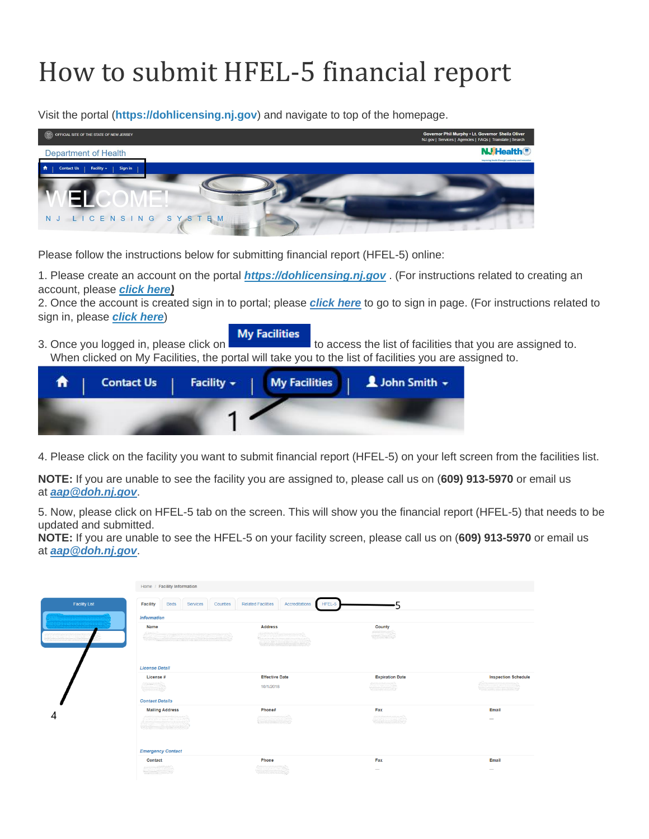## How to submit HFEL-5 financial report

Visit the portal (**https://dohlicensing.nj.gov**) and navigate to top of the homepage.

| OFFICIAL SITE OF THE STATE OF NEW JERSEY        | Governor Phil Murphy . Lt. Governor Sheila Oliver<br>NJ.gov   Services   Agencies   FAQs   Translate   Search |
|-------------------------------------------------|---------------------------------------------------------------------------------------------------------------|
| Department of Health                            | <b>NJ</b> Health <sup>®</sup><br>Improving Health Threagh Leadership and Innovation                           |
| 合<br>Sign in<br><b>Contact Us</b><br>Facility - |                                                                                                               |
| N J LICENSING SYSTEM                            |                                                                                                               |

Please follow the instructions below for submitting financial report (HFEL-5) online:

1. Please create an account on the portal *https://dohlicensing.nj.gov* . (For instructions related to creating an account, please *[click here\)](https://dohlicensing.nj.gov/Createnewaccount-instructions)*

2. Once the account is created sign in to portal; please *[click here](https://dohlicensing.nj.gov/SignIn?returnUrl=%2F)* to go to sign in page. (For instructions related to sign in, please *[click here](https://dohlicensing.nj.gov/signin-instructions)*)

3. Once you logged in, please click on **My Facilities** to access the list of facilities that you are assigned to. When clicked on My Facilities, the portal will take you to the list of facilities you are assigned to.

| A. |  | Contact Us   Facility -   My Facilities   L John Smith - |  |
|----|--|----------------------------------------------------------|--|
|    |  |                                                          |  |

4. Please click on the facility you want to submit financial report (HFEL-5) on your left screen from the facilities list.

**NOTE:** If you are unable to see the facility you are assigned to, please call us on (**609) 913-5970** or email us at *[aap@doh.nj.gov](mailto:aap@doh.nj.gov)*.

5. Now, please click on HFEL-5 tab on the screen. This will show you the financial report (HFEL-5) that needs to be updated and submitted.

**NOTE:** If you are unable to see the HFEL-5 on your facility screen, please call us on (**609) 913-5970** or email us at *[aap@doh.nj.gov](mailto:aap@doh.nj.gov)*.

|                      | Home / Facility Information                                           |                                                                 |                        |                                                        |  |  |  |  |
|----------------------|-----------------------------------------------------------------------|-----------------------------------------------------------------|------------------------|--------------------------------------------------------|--|--|--|--|
| <b>Facility List</b> | <b>Beds</b><br><b>Facility</b><br>Services<br>Counties                | <b>Related Facilities</b><br>Accreditations<br>HFEL-5           |                        |                                                        |  |  |  |  |
|                      | <b>Information</b>                                                    |                                                                 |                        |                                                        |  |  |  |  |
|                      | Name                                                                  | <b>Address</b>                                                  | <b>County</b>          |                                                        |  |  |  |  |
|                      | <b>License Detail</b>                                                 |                                                                 |                        |                                                        |  |  |  |  |
|                      | License #<br><b>Contact Details</b>                                   | <b>Effective Date</b><br>10/1/2018                              | <b>Expiration Date</b> | <b>Inspection Schedule</b><br>Communication in Mariana |  |  |  |  |
|                      | <b>Mailing Address</b>                                                | Phone#                                                          | Fax                    | Email                                                  |  |  |  |  |
| 4                    | at constructions attracts to a science of<br><b>Emergency Contact</b> |                                                                 |                        | $\hspace{0.5cm}$                                       |  |  |  |  |
|                      | Contact                                                               | Phone                                                           | Fax                    | Email                                                  |  |  |  |  |
|                      | <b>Antonio Alemano</b>                                                | <b>Cassade County County</b><br><b>Official collection (20)</b> |                        | $\overline{\phantom{a}}$                               |  |  |  |  |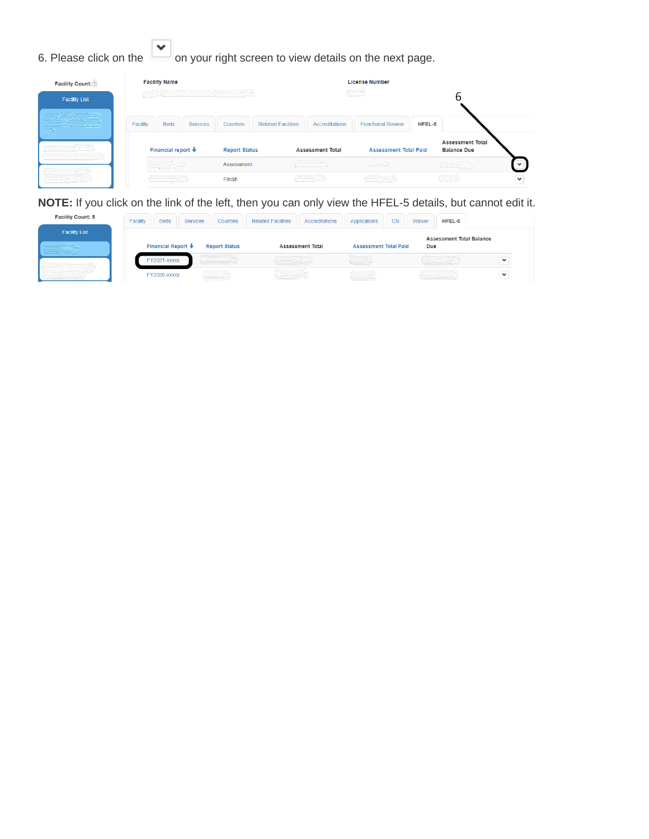6. Please click on the  $\left\lfloor \frac{1}{1} \right\rfloor$  on your right screen to view details on the next page.

| <b>Facility Count:</b>                                                         | <b>Facility Name</b>                                                                   |                      |                           |                                                                                                                                                                                                                                                                                                                                                     | <b>License Number</b>                       |        |                                                                                                                                                                                                                                                                                                                                                                             |   |
|--------------------------------------------------------------------------------|----------------------------------------------------------------------------------------|----------------------|---------------------------|-----------------------------------------------------------------------------------------------------------------------------------------------------------------------------------------------------------------------------------------------------------------------------------------------------------------------------------------------------|---------------------------------------------|--------|-----------------------------------------------------------------------------------------------------------------------------------------------------------------------------------------------------------------------------------------------------------------------------------------------------------------------------------------------------------------------------|---|
| <b>Facility List</b>                                                           |                                                                                        |                      |                           |                                                                                                                                                                                                                                                                                                                                                     |                                             |        |                                                                                                                                                                                                                                                                                                                                                                             |   |
| a a shekarar 2000.<br>Matukio<br><b>Committee of the committee of the most</b> | Facility<br><b>Beds</b><br><b>Services</b>                                             | Counties             | <b>Related Facilities</b> | <b>Accreditations</b>                                                                                                                                                                                                                                                                                                                               | <b>Functional Review</b>                    | HFEL-5 |                                                                                                                                                                                                                                                                                                                                                                             |   |
|                                                                                | Financial report $\bigstar$                                                            | <b>Report Status</b> |                           | <b>Assessment Total</b>                                                                                                                                                                                                                                                                                                                             | <b>Assessment Total Paid</b>                |        | <b>Assessment Total</b><br><b>Balance Due</b>                                                                                                                                                                                                                                                                                                                               |   |
| marked the state of the state of the state of the state                        |                                                                                        | Assessment           |                           | $\begin{picture}(20,10) \put(0,0){\line(1,0){10}} \put(10,0){\line(1,0){10}} \put(10,0){\line(1,0){10}} \put(10,0){\line(1,0){10}} \put(10,0){\line(1,0){10}} \put(10,0){\line(1,0){10}} \put(10,0){\line(1,0){10}} \put(10,0){\line(1,0){10}} \put(10,0){\line(1,0){10}} \put(10,0){\line(1,0){10}} \put(10,0){\line(1,0){10}} \put(10,0){\line(1$ | er S                                        |        | $\begin{picture}(20,20) \put(0,0){\vector(1,0){10}} \put(15,0){\vector(1,0){10}} \put(15,0){\vector(1,0){10}} \put(15,0){\vector(1,0){10}} \put(15,0){\vector(1,0){10}} \put(15,0){\vector(1,0){10}} \put(15,0){\vector(1,0){10}} \put(15,0){\vector(1,0){10}} \put(15,0){\vector(1,0){10}} \put(15,0){\vector(1,0){10}} \put(15,0){\vector(1,0){10}} \put(15,0){\vector(1$ |   |
| The contract of the contract of                                                | dia manazaraka matsaya na matsaya.<br>Manazarta na katao kaominina matsaya na matsaya. | Finish               |                           | a ditama mana ang aktive.<br>Mga katalog pangangan                                                                                                                                                                                                                                                                                                  | alle Classica<br>Continuada propria de Casa |        | $\begin{picture}(20,10) \put(0,0){\vector(0,1){30}} \put(15,0){\vector(0,1){30}} \put(15,0){\vector(0,1){30}} \put(15,0){\vector(0,1){30}} \put(15,0){\vector(0,1){30}} \put(15,0){\vector(0,1){30}} \put(15,0){\vector(0,1){30}} \put(15,0){\vector(0,1){30}} \put(15,0){\vector(0,1){30}} \put(15,0){\vector(0,1){30}} \put(15,0){\vector(0,1){30}} \put(15,0){\vector(0$ | v |

**NOTE:** If you click on the link of the left, then you can only view the HFEL-5 details, but cannot edit it.

| <b>Facility Count: 5</b> | Facility | <b>Beds</b>              | <b>Services</b> | <b>Counties</b>                            | <b>Related Facilities</b> | Accreditations          | Applications                                                                  | <b>CN</b> | Waiver     | HFEL-5                          |              |
|--------------------------|----------|--------------------------|-----------------|--------------------------------------------|---------------------------|-------------------------|-------------------------------------------------------------------------------|-----------|------------|---------------------------------|--------------|
| <b>Facility List</b>     |          |                          |                 |                                            |                           |                         |                                                                               |           |            | <b>Assessment Total Balance</b> |              |
|                          |          | Financial Report $\ddag$ |                 | <b>Report Status</b>                       |                           | <b>Assessment Total</b> | <b>Assessment Total Paid</b>                                                  |           | <b>Due</b> |                                 |              |
|                          |          | FY2021-XXXXX             |                 |                                            |                           |                         | <b>Communication</b>                                                          |           |            |                                 | $\checkmark$ |
|                          |          | FY2020-XXXXX             |                 | ,,,,,,,,,,,,,,,,,<br>,,,,,,,,,,,,,,,,,,,,, |                           |                         | ,,,,,,,,,,,,,,,,,,,<br><b>Bestern Construction</b><br><b>Visionnameresses</b> |           |            |                                 | $\checkmark$ |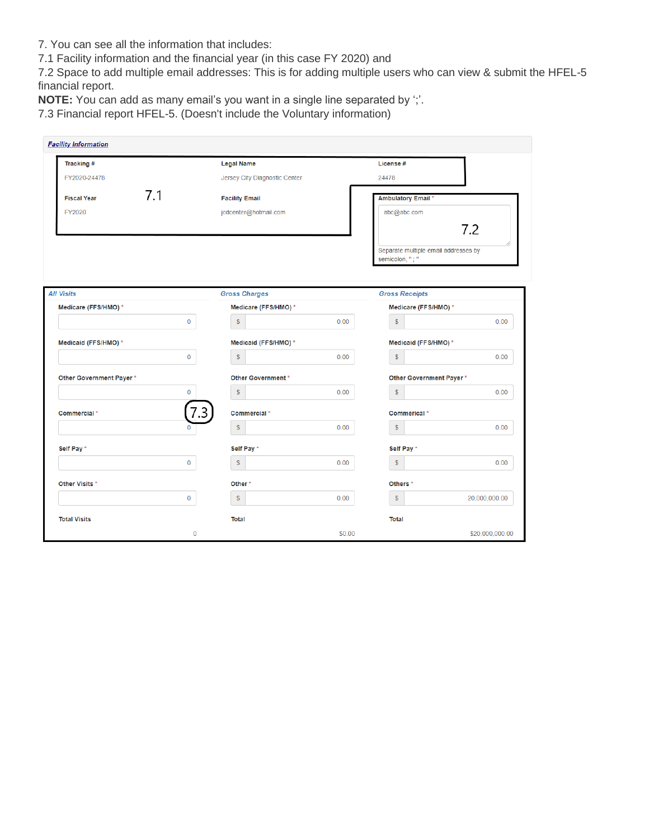- 7. You can see all the information that includes:
- 7.1 Facility information and the financial year (in this case FY 2020) and

7.2 Space to add multiple email addresses: This is for adding multiple users who can view & submit the HFEL-5 financial report.

**NOTE:** You can add as many email's you want in a single line separated by ';'.

7.3 Financial report HFEL-5. (Doesn't include the Voluntary information)

| Tracking #              |                | <b>Legal Name</b>             |      | License #                                               |               |
|-------------------------|----------------|-------------------------------|------|---------------------------------------------------------|---------------|
| FY2020-24478            |                | Jersey City Diagnostic Center |      | 24478                                                   |               |
| <b>Fiscal Year</b>      | 7.1            | <b>Facility Email</b>         |      | <b>Ambulatory Email *</b>                               |               |
| FY2020                  |                | jcdcenter@hotmail.com         |      | abc@abc.com                                             | 7.2           |
|                         |                |                               |      | Separate multiple email addresses by<br>semicolon, "; " |               |
| <b>All Visits</b>       |                | <b>Gross Charges</b>          |      | <b>Gross Receipts</b>                                   |               |
| Medicare (FFS/HMO) *    |                | Medicare (FFS/HMO) *          |      | Medicare (FFS/HMO) *                                    |               |
|                         | $\mathbf 0$    | $\mathsf{\$}$                 | 0.00 | $\mathbb S$                                             | 0.00          |
| Medicaid (FFS/HMO) *    |                | Medicaid (FFS/HMO) *          |      | Medicaid (FFS/HMO) *                                    |               |
|                         | $\mathbf{0}$   | $\mathsf{s}$                  | 0.00 | $$\mathbb{S}$$                                          | 0.00          |
| Other Government Payer* |                | <b>Other Government</b> *     |      | Other Government Payer*                                 |               |
|                         | $\mathbf 0$    | $\mathsf{\$}$                 | 0.00 | $\mathsf{s}$                                            | 0.00          |
| Commercial*             | 7.3            | Commercial*                   |      | Commerical *                                            |               |
|                         | $\mathbf{0}$   | $\mathbb S$                   | 0.00 | $$\mathbb{S}$$                                          | 0.00          |
| Self Pay*               |                | Self Pay *                    |      | Self Pay *                                              |               |
|                         | $\overline{0}$ | $\mathsf{s}$                  | 0.00 | $\mathsf{s}$                                            | 0.00          |
| Other Visits *          |                | Other <sup>*</sup>            |      | Others <sup>*</sup>                                     |               |
|                         | $\mathbf 0$    | $\mathsf{\$}$                 | 0.00 | $\mathsf{\$}$                                           | 20,000,000.00 |
|                         |                |                               |      |                                                         |               |
| <b>Total Visits</b>     |                | <b>Total</b>                  |      | <b>Total</b>                                            |               |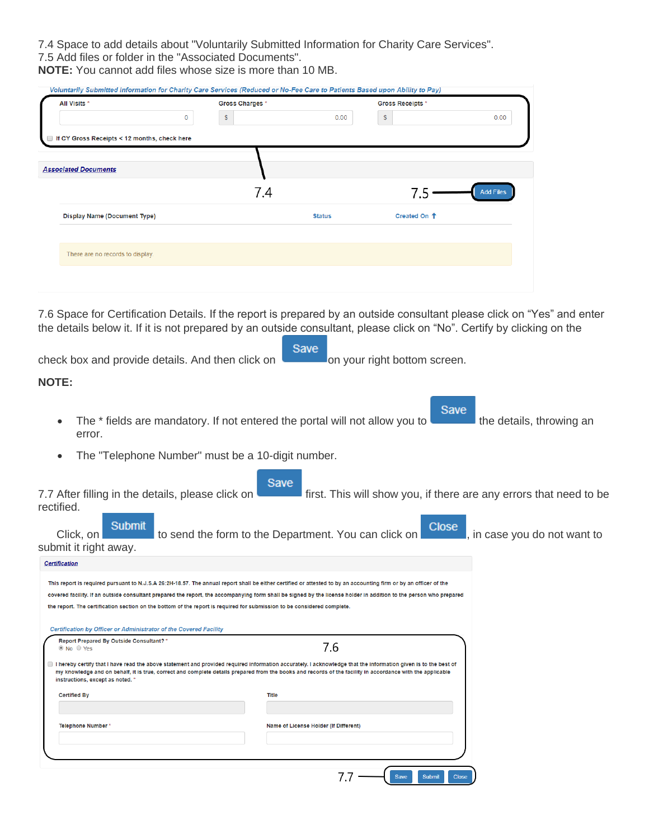7.4 Space to add details about "Voluntarily Submitted Information for Charity Care Services". 7.5 Add files or folder in the "Associated Documents".

**NOTE:** You cannot add files whose size is more than 10 MB.

| All Visits *                                                                                                            | Gross Charges * |               | <b>Gross Receipts *</b> |                  |
|-------------------------------------------------------------------------------------------------------------------------|-----------------|---------------|-------------------------|------------------|
| 0                                                                                                                       | \$              | 0.00          | \$                      | 0.00             |
| If CY Gross Receipts < 12 months, check here                                                                            |                 |               |                         |                  |
|                                                                                                                         |                 |               |                         |                  |
| <b>Associated Documents</b>                                                                                             |                 |               |                         |                  |
|                                                                                                                         | 7.4             |               |                         | <b>Add Files</b> |
| Display Name (Document Type)                                                                                            |                 | <b>Status</b> | Created On <sup>+</sup> |                  |
| There are no records to display.                                                                                        |                 |               |                         |                  |
|                                                                                                                         |                 |               |                         |                  |
|                                                                                                                         |                 |               |                         |                  |
|                                                                                                                         |                 |               |                         |                  |
| 7.6 Space for Certification Details. If the report is prepared by an outside consultant please click on "Yes" and enter |                 |               |                         |                  |

| Save<br>check box and provide details. And then click on<br>on your right bottom screen.                                                                                                                                                                                                                                                                        |
|-----------------------------------------------------------------------------------------------------------------------------------------------------------------------------------------------------------------------------------------------------------------------------------------------------------------------------------------------------------------|
| <b>NOTE:</b>                                                                                                                                                                                                                                                                                                                                                    |
| Save<br>The * fields are mandatory. If not entered the portal will not allow you to<br>the details, throwing an<br>error.<br>The "Telephone Number" must be a 10-digit number.                                                                                                                                                                                  |
| Save<br>first. This will show you, if there are any errors that need to be<br>7.7 After filling in the details, please click on<br>rectified.<br><b>Submit</b><br>Close<br>to send the form to the Department. You can click on<br>, in case you do not want to<br>Click, on<br>submit it right away.<br><b>Certification</b>                                   |
|                                                                                                                                                                                                                                                                                                                                                                 |
| This report is required pursuant to N.J.S.A 26:2H-18.57. The annual report shall be either certified or attested to by an accounting firm or by an officer of the<br>covered facility. If an outside consultant prepared the report, the accompanying form shall be signed by the license holder in addition to the person who prepared                         |
| the report. The certification section on the bottom of the report is required for submission to be considered complete.                                                                                                                                                                                                                                         |
| Certification by Officer or Administrator of the Covered Facility                                                                                                                                                                                                                                                                                               |
| Report Prepared By Outside Consultant? *<br>7.6<br>© No ⊙ Yes                                                                                                                                                                                                                                                                                                   |
| I hereby certify that I have read the above statement and provided required information accurately. I acknowledge that the information given is to the best of<br>my knowledge and on behalf, it is true, correct and complete details prepared from the books and records of the facility in accordance with the applicable<br>instructions, except as noted.' |
| <b>Certified By</b><br>Title                                                                                                                                                                                                                                                                                                                                    |
|                                                                                                                                                                                                                                                                                                                                                                 |
| <b>Telephone Number</b> '<br>Name of License Holder (If Different)                                                                                                                                                                                                                                                                                              |
|                                                                                                                                                                                                                                                                                                                                                                 |
|                                                                                                                                                                                                                                                                                                                                                                 |
| 7.7<br><b>Save</b><br><b>Submit</b><br><b>Close</b>                                                                                                                                                                                                                                                                                                             |